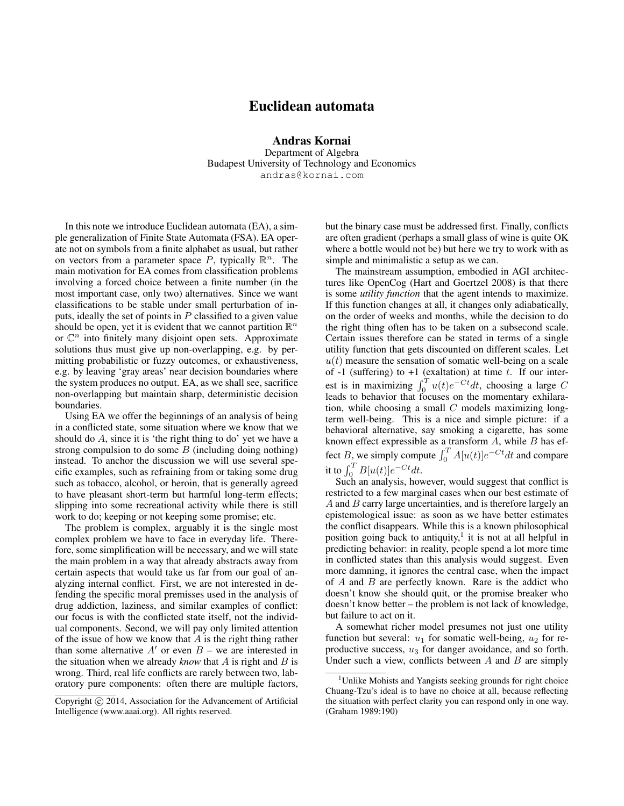# Euclidean automata

Andras Kornai Department of Algebra Budapest University of Technology and Economics andras@kornai.com

In this note we introduce Euclidean automata (EA), a simple generalization of Finite State Automata (FSA). EA operate not on symbols from a finite alphabet as usual, but rather on vectors from a parameter space P, typically  $\mathbb{R}^n$ . The main motivation for EA comes from classification problems involving a forced choice between a finite number (in the most important case, only two) alternatives. Since we want classifications to be stable under small perturbation of inputs, ideally the set of points in  $P$  classified to a given value should be open, yet it is evident that we cannot partition  $\mathbb{R}^n$ or  $\mathbb{C}^n$  into finitely many disjoint open sets. Approximate solutions thus must give up non-overlapping, e.g. by permitting probabilistic or fuzzy outcomes, or exhaustiveness, e.g. by leaving 'gray areas' near decision boundaries where the system produces no output. EA, as we shall see, sacrifice non-overlapping but maintain sharp, deterministic decision boundaries.

Using EA we offer the beginnings of an analysis of being in a conflicted state, some situation where we know that we should do  $A$ , since it is 'the right thing to do' yet we have a strong compulsion to do some  $B$  (including doing nothing) instead. To anchor the discussion we will use several specific examples, such as refraining from or taking some drug such as tobacco, alcohol, or heroin, that is generally agreed to have pleasant short-term but harmful long-term effects; slipping into some recreational activity while there is still work to do; keeping or not keeping some promise; etc.

The problem is complex, arguably it is the single most complex problem we have to face in everyday life. Therefore, some simplification will be necessary, and we will state the main problem in a way that already abstracts away from certain aspects that would take us far from our goal of analyzing internal conflict. First, we are not interested in defending the specific moral premisses used in the analysis of drug addiction, laziness, and similar examples of conflict: our focus is with the conflicted state itself, not the individual components. Second, we will pay only limited attention of the issue of how we know that  $A$  is the right thing rather than some alternative  $A'$  or even  $B$  – we are interested in the situation when we already *know* that A is right and B is wrong. Third, real life conflicts are rarely between two, laboratory pure components: often there are multiple factors,

but the binary case must be addressed first. Finally, conflicts are often gradient (perhaps a small glass of wine is quite OK where a bottle would not be) but here we try to work with as simple and minimalistic a setup as we can.

The mainstream assumption, embodied in AGI architectures like OpenCog (Hart and Goertzel 2008) is that there is some *utility function* that the agent intends to maximize. If this function changes at all, it changes only adiabatically, on the order of weeks and months, while the decision to do the right thing often has to be taken on a subsecond scale. Certain issues therefore can be stated in terms of a single utility function that gets discounted on different scales. Let  $u(t)$  measure the sensation of somatic well-being on a scale of -1 (suffering) to +1 (exaltation) at time  $t$ . If our interest is in maximizing  $\int_0^T u(t)e^{-Ct}dt$ , choosing a large C leads to behavior that focuses on the momentary exhilaration, while choosing a small  $C$  models maximizing longterm well-being. This is a nice and simple picture: if a behavioral alternative, say smoking a cigarette, has some known effect expressible as a transform  $A$ , while  $B$  has effect B, we simply compute  $\int_0^T A[u(t)]e^{-Ct}dt$  and compare it to  $\int_0^T B[u(t)]e^{-Ct}dt$ .

Such an analysis, however, would suggest that conflict is restricted to a few marginal cases when our best estimate of A and B carry large uncertainties, and is therefore largely an epistemological issue: as soon as we have better estimates the conflict disappears. While this is a known philosophical position going back to antiquity,<sup>1</sup> it is not at all helpful in predicting behavior: in reality, people spend a lot more time in conflicted states than this analysis would suggest. Even more damning, it ignores the central case, when the impact of  $A$  and  $B$  are perfectly known. Rare is the addict who doesn't know she should quit, or the promise breaker who doesn't know better – the problem is not lack of knowledge, but failure to act on it.

A somewhat richer model presumes not just one utility function but several:  $u_1$  for somatic well-being,  $u_2$  for reproductive success,  $u_3$  for danger avoidance, and so forth. Under such a view, conflicts between  $A$  and  $B$  are simply

Copyright (c) 2014, Association for the Advancement of Artificial Intelligence (www.aaai.org). All rights reserved.

<sup>&</sup>lt;sup>1</sup>Unlike Mohists and Yangists seeking grounds for right choice Chuang-Tzu's ideal is to have no choice at all, because reflecting the situation with perfect clarity you can respond only in one way. (Graham 1989:190)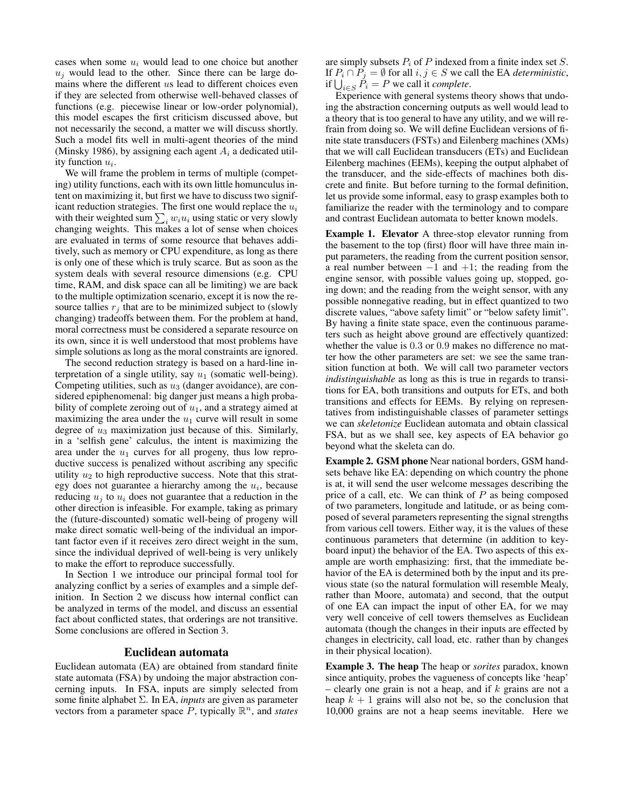cases when some  $u_i$  would lead to one choice but another  $u_i$  would lead to the other. Since there can be large domains where the different us lead to different choices even if they are selected from otherwise well-behaved classes of functions (e.g. piecewise linear or low-order polynomial), this model escapes the first criticism discussed above, but not necessarily the second, a matter we will discuss shortly. Such a model fits well in multi-agent theories of the mind (Minsky 1986), by assigning each agent  $A_i$  a dedicated utility function  $u_i$ .

We will frame the problem in terms of multiple (competing) utility functions, each with its own little homunculus intent on maximizing it, but first we have to discuss two significant reduction strategies. The first one would replace the  $u_i$ with their weighted sum  $\sum_i w_i u_i$  using static or very slowly changing weights. This makes a lot of sense when choices are evaluated in terms of some resource that behaves additively, such as memory or CPU expenditure, as long as there is only one of these which is truly scarce. But as soon as the system deals with several resource dimensions (e.g. CPU time, RAM, and disk space can all be limiting) we are back to the multiple optimization scenario, except it is now the resource tallies  $r_j$  that are to be minimized subject to (slowly changing) tradeoffs between them. For the problem at hand, moral correctness must be considered a separate resource on its own, since it is well understood that most problems have simple solutions as long as the moral constraints are ignored.

The second reduction strategy is based on a hard-line interpretation of a single utility, say  $u_1$  (somatic well-being). Competing utilities, such as  $u_3$  (danger avoidance), are considered epiphenomenal: big danger just means a high probability of complete zeroing out of  $u_1$ , and a strategy aimed at maximizing the area under the  $u_1$  curve will result in some degree of  $u_3$  maximization just because of this. Similarly, in a 'selfish gene' calculus, the intent is maximizing the area under the  $u_1$  curves for all progeny, thus low reproductive success is penalized without ascribing any specific utility  $u_2$  to high reproductive success. Note that this strategy does not guarantee a hierarchy among the  $u_i$ , because reducing  $u_i$  to  $u_i$  does not guarantee that a reduction in the other direction is infeasible. For example, taking as primary the (future-discounted) somatic well-being of progeny will make direct somatic well-being of the individual an important factor even if it receives zero direct weight in the sum, since the individual deprived of well-being is very unlikely to make the effort to reproduce successfully.

In Section 1 we introduce our principal formal tool for analyzing conflict by a series of examples and a simple definition. In Section 2 we discuss how internal conflict can be analyzed in terms of the model, and discuss an essential fact about conflicted states, that orderings are not transitive. Some conclusions are offered in Section 3.

### Euclidean automata

Euclidean automata (EA) are obtained from standard finite state automata (FSA) by undoing the major abstraction concerning inputs. In FSA, inputs are simply selected from some finite alphabet Σ. In EA, *inputs* are given as parameter vectors from a parameter space  $\overline{P}$ , typically  $\mathbb{R}^n$ , and *states* 

are simply subsets  $P_i$  of P indexed from a finite index set S. If  $P_i \cap P_j = \emptyset$  for all  $i, j \in S$  we call the EA *deterministic*, if  $\bigcup_{i \in S} P_i = P$  we call it *complete*.

Experience with general systems theory shows that undoing the abstraction concerning outputs as well would lead to a theory that is too general to have any utility, and we will refrain from doing so. We will define Euclidean versions of finite state transducers (FSTs) and Eilenberg machines (XMs) that we will call Euclidean transducers (ETs) and Euclidean Eilenberg machines (EEMs), keeping the output alphabet of the transducer, and the side-effects of machines both discrete and finite. But before turning to the formal definition, let us provide some informal, easy to grasp examples both to familiarize the reader with the terminology and to compare and contrast Euclidean automata to better known models.

Example 1. Elevator A three-stop elevator running from the basement to the top (first) floor will have three main input parameters, the reading from the current position sensor, a real number between  $-1$  and  $+1$ ; the reading from the engine sensor, with possible values going up, stopped, going down; and the reading from the weight sensor, with any possible nonnegative reading, but in effect quantized to two discrete values, "above safety limit" or "below safety limit". By having a finite state space, even the continuous parameters such as height above ground are effectively quantized: whether the value is 0.3 or 0.9 makes no difference no matter how the other parameters are set: we see the same transition function at both. We will call two parameter vectors *indistinguishable* as long as this is true in regards to transitions for EA, both transitions and outputs for ETs, and both transitions and effects for EEMs. By relying on representatives from indistinguishable classes of parameter settings we can *skeletonize* Euclidean automata and obtain classical FSA, but as we shall see, key aspects of EA behavior go beyond what the skeleta can do.

Example 2. GSM phone Near national borders, GSM handsets behave like EA: depending on which country the phone is at, it will send the user welcome messages describing the price of a call, etc. We can think of  $P$  as being composed of two parameters, longitude and latitude, or as being composed of several parameters representing the signal strengths from various cell towers. Either way, it is the values of these continuous parameters that determine (in addition to keyboard input) the behavior of the EA. Two aspects of this example are worth emphasizing: first, that the immediate behavior of the EA is determined both by the input and its previous state (so the natural formulation will resemble Mealy, rather than Moore, automata) and second, that the output of one EA can impact the input of other EA, for we may very well conceive of cell towers themselves as Euclidean automata (though the changes in their inputs are effected by changes in electricity, call load, etc. rather than by changes in their physical location).

Example 3. The heap The heap or *sorites* paradox, known since antiquity, probes the vagueness of concepts like 'heap' – clearly one grain is not a heap, and if  $k$  grains are not a heap  $k + 1$  grains will also not be, so the conclusion that 10,000 grains are not a heap seems inevitable. Here we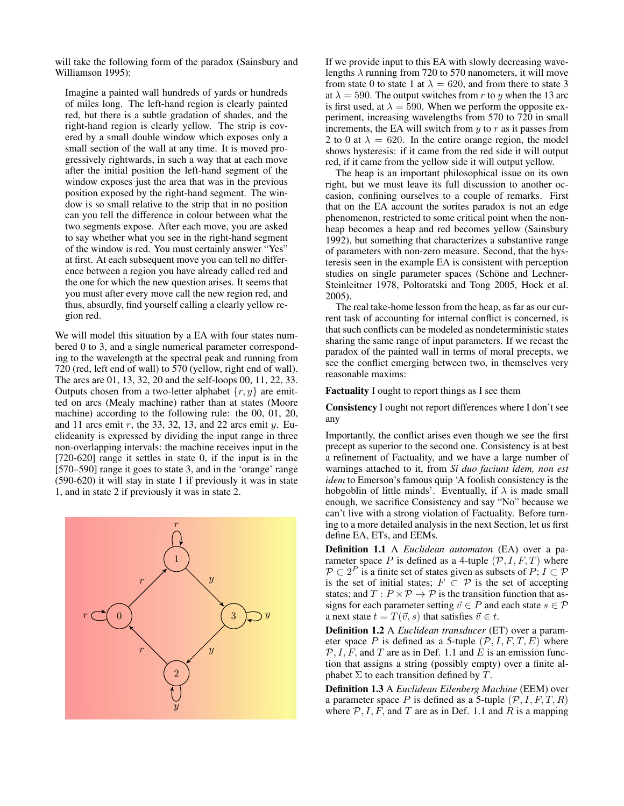will take the following form of the paradox (Sainsbury and Williamson 1995):

Imagine a painted wall hundreds of yards or hundreds of miles long. The left-hand region is clearly painted red, but there is a subtle gradation of shades, and the right-hand region is clearly yellow. The strip is covered by a small double window which exposes only a small section of the wall at any time. It is moved progressively rightwards, in such a way that at each move after the initial position the left-hand segment of the window exposes just the area that was in the previous position exposed by the right-hand segment. The window is so small relative to the strip that in no position can you tell the difference in colour between what the two segments expose. After each move, you are asked to say whether what you see in the right-hand segment of the window is red. You must certainly answer "Yes" at first. At each subsequent move you can tell no difference between a region you have already called red and the one for which the new question arises. It seems that you must after every move call the new region red, and thus, absurdly, find yourself calling a clearly yellow region red.

We will model this situation by a EA with four states numbered 0 to 3, and a single numerical parameter corresponding to the wavelength at the spectral peak and running from 720 (red, left end of wall) to 570 (yellow, right end of wall). The arcs are 01, 13, 32, 20 and the self-loops 00, 11, 22, 33. Outputs chosen from a two-letter alphabet  $\{r, y\}$  are emitted on arcs (Mealy machine) rather than at states (Moore machine) according to the following rule: the 00, 01, 20, and 11 arcs emit  $r$ , the 33, 32, 13, and 22 arcs emit  $y$ . Euclideanity is expressed by dividing the input range in three non-overlapping intervals: the machine receives input in the [720-620] range it settles in state 0, if the input is in the [570–590] range it goes to state 3, and in the 'orange' range (590-620) it will stay in state 1 if previously it was in state 1, and in state 2 if previously it was in state 2.



If we provide input to this EA with slowly decreasing wavelengths  $\lambda$  running from 720 to 570 nanometers, it will move from state 0 to state 1 at  $\lambda = 620$ , and from there to state 3 at  $\lambda = 590$ . The output switches from r to y when the 13 arc is first used, at  $\lambda = 590$ . When we perform the opposite experiment, increasing wavelengths from 570 to 720 in small increments, the EA will switch from  $y$  to  $r$  as it passes from 2 to 0 at  $\lambda = 620$ . In the entire orange region, the model shows hysteresis: if it came from the red side it will output red, if it came from the yellow side it will output yellow.

The heap is an important philosophical issue on its own right, but we must leave its full discussion to another occasion, confining ourselves to a couple of remarks. First that on the EA account the sorites paradox is not an edge phenomenon, restricted to some critical point when the nonheap becomes a heap and red becomes yellow (Sainsbury 1992), but something that characterizes a substantive range of parameters with non-zero measure. Second, that the hysteresis seen in the example EA is consistent with perception studies on single parameter spaces (Schöne and Lechner-Steinleitner 1978, Poltoratski and Tong 2005, Hock et al. 2005).

The real take-home lesson from the heap, as far as our current task of accounting for internal conflict is concerned, is that such conflicts can be modeled as nondeterministic states sharing the same range of input parameters. If we recast the paradox of the painted wall in terms of moral precepts, we see the conflict emerging between two, in themselves very reasonable maxims:

Factuality I ought to report things as I see them

Consistency I ought not report differences where I don't see any

Importantly, the conflict arises even though we see the first precept as superior to the second one. Consistency is at best a refinement of Factuality, and we have a large number of warnings attached to it, from *Si duo faciunt idem, non est idem* to Emerson's famous quip 'A foolish consistency is the hobgoblin of little minds'. Eventually, if  $\lambda$  is made small enough, we sacrifice Consistency and say "No" because we can't live with a strong violation of Factuality. Before turning to a more detailed analysis in the next Section, let us first define EA, ETs, and EEMs.

Definition 1.1 A *Euclidean automaton* (EA) over a parameter space P is defined as a 4-tuple  $(\mathcal{P}, I, F, T)$  where  $\mathcal{P} \subset 2^P$  is a finite set of states given as subsets of  $P; I \subset \mathcal{P}$ is the set of initial states;  $F \subset \mathcal{P}$  is the set of accepting states; and  $T: P \times P \rightarrow P$  is the transition function that assigns for each parameter setting  $\vec{v} \in P$  and each state  $s \in \mathcal{P}$ a next state  $t = T(\vec{v}, s)$  that satisfies  $\vec{v} \in t$ .

Definition 1.2 A *Euclidean transducer* (ET) over a parameter space P is defined as a 5-tuple  $(\mathcal{P}, I, F, T, E)$  where  $\mathcal{P}, I, F$ , and T are as in Def. 1.1 and E is an emission function that assigns a string (possibly empty) over a finite alphabet  $\Sigma$  to each transition defined by  $T$ .

Definition 1.3 A *Euclidean Eilenberg Machine* (EEM) over a parameter space P is defined as a 5-tuple  $(\mathcal{P}, I, F, T, R)$ where  $P, I, F$ , and T are as in Def. 1.1 and R is a mapping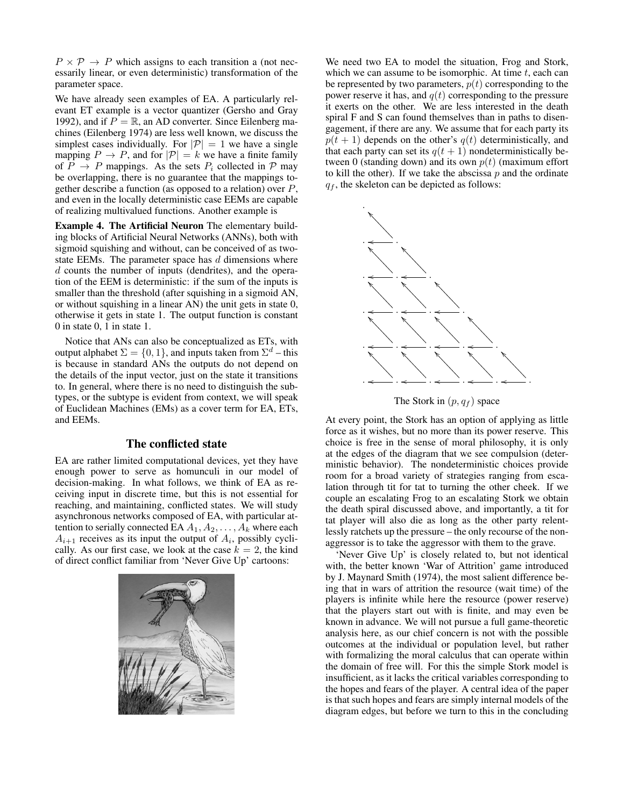$P \times \mathcal{P} \rightarrow P$  which assigns to each transition a (not necessarily linear, or even deterministic) transformation of the parameter space.

We have already seen examples of EA. A particularly relevant ET example is a vector quantizer (Gersho and Gray 1992), and if  $P = \mathbb{R}$ , an AD converter. Since Eilenberg machines (Eilenberg 1974) are less well known, we discuss the simplest cases individually. For  $|\mathcal{P}| = 1$  we have a single mapping  $P \to P$ , and for  $|\mathcal{P}| = k$  we have a finite family of  $P \rightarrow P$  mappings. As the sets  $P_i$  collected in  $P$  may be overlapping, there is no guarantee that the mappings together describe a function (as opposed to a relation) over  $P$ , and even in the locally deterministic case EEMs are capable of realizing multivalued functions. Another example is

Example 4. The Artificial Neuron The elementary building blocks of Artificial Neural Networks (ANNs), both with sigmoid squishing and without, can be conceived of as twostate EEMs. The parameter space has  $d$  dimensions where d counts the number of inputs (dendrites), and the operation of the EEM is deterministic: if the sum of the inputs is smaller than the threshold (after squishing in a sigmoid AN, or without squishing in a linear AN) the unit gets in state 0, otherwise it gets in state 1. The output function is constant 0 in state 0, 1 in state 1.

Notice that ANs can also be conceptualized as ETs, with output alphabet  $\Sigma = \{0, 1\}$ , and inputs taken from  $\Sigma^d$  – this is because in standard ANs the outputs do not depend on the details of the input vector, just on the state it transitions to. In general, where there is no need to distinguish the subtypes, or the subtype is evident from context, we will speak of Euclidean Machines (EMs) as a cover term for EA, ETs, and EEMs.

### The conflicted state

EA are rather limited computational devices, yet they have enough power to serve as homunculi in our model of decision-making. In what follows, we think of EA as receiving input in discrete time, but this is not essential for reaching, and maintaining, conflicted states. We will study asynchronous networks composed of EA, with particular attention to serially connected EA  $A_1, A_2, \ldots, A_k$  where each  $A_{i+1}$  receives as its input the output of  $A_i$ , possibly cyclically. As our first case, we look at the case  $k = 2$ , the kind of direct conflict familiar from 'Never Give Up' cartoons:



We need two EA to model the situation, Frog and Stork, which we can assume to be isomorphic. At time  $t$ , each can be represented by two parameters,  $p(t)$  corresponding to the power reserve it has, and  $q(t)$  corresponding to the pressure it exerts on the other. We are less interested in the death spiral F and S can found themselves than in paths to disengagement, if there are any. We assume that for each party its  $p(t + 1)$  depends on the other's  $q(t)$  deterministically, and that each party can set its  $q(t + 1)$  nondeterministically between 0 (standing down) and its own  $p(t)$  (maximum effort to kill the other). If we take the abscissa  $p$  and the ordinate  $q_f$ , the skeleton can be depicted as follows:



The Stork in  $(p, q_f)$  space

At every point, the Stork has an option of applying as little force as it wishes, but no more than its power reserve. This choice is free in the sense of moral philosophy, it is only at the edges of the diagram that we see compulsion (deterministic behavior). The nondeterministic choices provide room for a broad variety of strategies ranging from escalation through tit for tat to turning the other cheek. If we couple an escalating Frog to an escalating Stork we obtain the death spiral discussed above, and importantly, a tit for tat player will also die as long as the other party relentlessly ratchets up the pressure – the only recourse of the nonaggressor is to take the aggressor with them to the grave.

'Never Give Up' is closely related to, but not identical with, the better known 'War of Attrition' game introduced by J. Maynard Smith (1974), the most salient difference being that in wars of attrition the resource (wait time) of the players is infinite while here the resource (power reserve) that the players start out with is finite, and may even be known in advance. We will not pursue a full game-theoretic analysis here, as our chief concern is not with the possible outcomes at the individual or population level, but rather with formalizing the moral calculus that can operate within the domain of free will. For this the simple Stork model is insufficient, as it lacks the critical variables corresponding to the hopes and fears of the player. A central idea of the paper is that such hopes and fears are simply internal models of the diagram edges, but before we turn to this in the concluding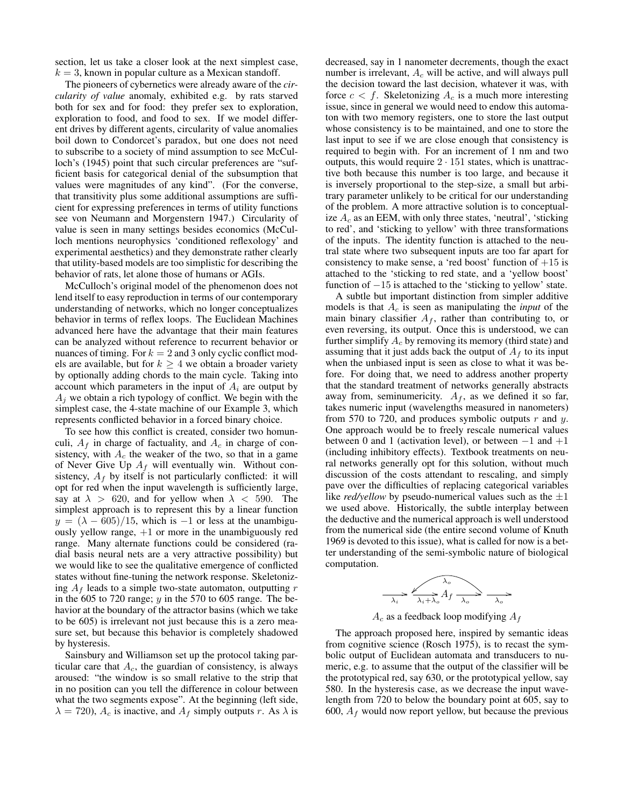section, let us take a closer look at the next simplest case,  $k = 3$ , known in popular culture as a Mexican standoff.

The pioneers of cybernetics were already aware of the *circularity of value* anomaly, exhibited e.g. by rats starved both for sex and for food: they prefer sex to exploration, exploration to food, and food to sex. If we model different drives by different agents, circularity of value anomalies boil down to Condorcet's paradox, but one does not need to subscribe to a society of mind assumption to see McCulloch's (1945) point that such circular preferences are "sufficient basis for categorical denial of the subsumption that values were magnitudes of any kind". (For the converse, that transitivity plus some additional assumptions are sufficient for expressing preferences in terms of utility functions see von Neumann and Morgenstern 1947.) Circularity of value is seen in many settings besides economics (McCulloch mentions neurophysics 'conditioned reflexology' and experimental aesthetics) and they demonstrate rather clearly that utility-based models are too simplistic for describing the behavior of rats, let alone those of humans or AGIs.

McCulloch's original model of the phenomenon does not lend itself to easy reproduction in terms of our contemporary understanding of networks, which no longer conceptualizes behavior in terms of reflex loops. The Euclidean Machines advanced here have the advantage that their main features can be analyzed without reference to recurrent behavior or nuances of timing. For  $k = 2$  and 3 only cyclic conflict models are available, but for  $k \geq 4$  we obtain a broader variety by optionally adding chords to the main cycle. Taking into account which parameters in the input of  $A_i$  are output by  $A_j$  we obtain a rich typology of conflict. We begin with the simplest case, the 4-state machine of our Example 3, which represents conflicted behavior in a forced binary choice.

To see how this conflict is created, consider two homunculi,  $A_f$  in charge of factuality, and  $A_c$  in charge of consistency, with  $A_c$  the weaker of the two, so that in a game of Never Give Up  $A_f$  will eventually win. Without consistency,  $A_f$  by itself is not particularly conflicted: it will opt for red when the input wavelength is sufficiently large, say at  $\lambda > 620$ , and for yellow when  $\lambda < 590$ . The simplest approach is to represent this by a linear function  $y = (\lambda - 605)/15$ , which is -1 or less at the unambiguously yellow range,  $+1$  or more in the unambiguously red range. Many alternate functions could be considered (radial basis neural nets are a very attractive possibility) but we would like to see the qualitative emergence of conflicted states without fine-tuning the network response. Skeletonizing  $A_f$  leads to a simple two-state automaton, outputting r in the 605 to 720 range;  $y$  in the 570 to 605 range. The behavior at the boundary of the attractor basins (which we take to be 605) is irrelevant not just because this is a zero measure set, but because this behavior is completely shadowed by hysteresis.

Sainsbury and Williamson set up the protocol taking particular care that  $A_c$ , the guardian of consistency, is always aroused: "the window is so small relative to the strip that in no position can you tell the difference in colour between what the two segments expose". At the beginning (left side,  $\lambda = 720$ ,  $A_c$  is inactive, and  $A_f$  simply outputs r. As  $\lambda$  is

decreased, say in 1 nanometer decrements, though the exact number is irrelevant,  $A_c$  will be active, and will always pull the decision toward the last decision, whatever it was, with force  $c < f$ . Skeletonizing  $A_c$  is a much more interesting issue, since in general we would need to endow this automaton with two memory registers, one to store the last output whose consistency is to be maintained, and one to store the last input to see if we are close enough that consistency is required to begin with. For an increment of 1 nm and two outputs, this would require  $2 \cdot 151$  states, which is unattractive both because this number is too large, and because it is inversely proportional to the step-size, a small but arbitrary parameter unlikely to be critical for our understanding of the problem. A more attractive solution is to conceptualize  $A_c$  as an EEM, with only three states, 'neutral', 'sticking to red', and 'sticking to yellow' with three transformations of the inputs. The identity function is attached to the neutral state where two subsequent inputs are too far apart for consistency to make sense, a 'red boost' function of  $+15$  is attached to the 'sticking to red state, and a 'yellow boost' function of  $-15$  is attached to the 'sticking to yellow' state.

A subtle but important distinction from simpler additive models is that  $A_c$  is seen as manipulating the *input* of the main binary classifier  $A_f$ , rather than contributing to, or even reversing, its output. Once this is understood, we can further simplify  $A_c$  by removing its memory (third state) and assuming that it just adds back the output of  $A_f$  to its input when the unbiased input is seen as close to what it was before. For doing that, we need to address another property that the standard treatment of networks generally abstracts away from, seminumericity.  $A_f$ , as we defined it so far, takes numeric input (wavelengths measured in nanometers) from 570 to 720, and produces symbolic outputs  $r$  and  $y$ . One approach would be to freely rescale numerical values between 0 and 1 (activation level), or between −1 and +1 (including inhibitory effects). Textbook treatments on neural networks generally opt for this solution, without much discussion of the costs attendant to rescaling, and simply pave over the difficulties of replacing categorical variables like *red/yellow* by pseudo-numerical values such as the  $\pm 1$ we used above. Historically, the subtle interplay between the deductive and the numerical approach is well understood from the numerical side (the entire second volume of Knuth 1969 is devoted to this issue), what is called for now is a better understanding of the semi-symbolic nature of biological computation.

$$
\frac{\lambda_o}{\lambda_i + \lambda_o} A_f \xrightarrow[\lambda_o]{\lambda_o} \frac{\lambda_o}{\lambda_o}
$$

 $A_c$  as a feedback loop modifying  $A_f$ 

The approach proposed here, inspired by semantic ideas from cognitive science (Rosch 1975), is to recast the symbolic output of Euclidean automata and transducers to numeric, e.g. to assume that the output of the classifier will be the prototypical red, say 630, or the prototypical yellow, say 580. In the hysteresis case, as we decrease the input wavelength from 720 to below the boundary point at 605, say to 600,  $A_f$  would now report yellow, but because the previous